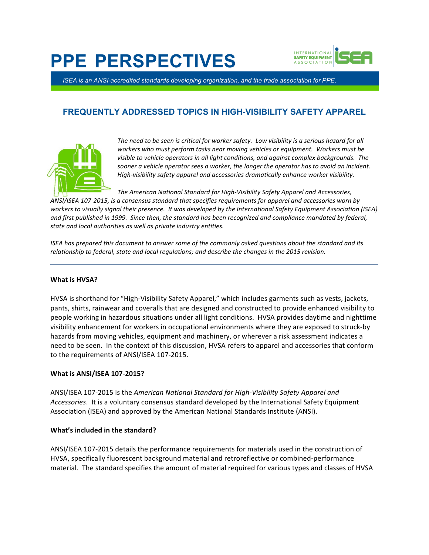# **PPE PERSPECTIVES**



*ISEA is an ANSI-accredited standards developing organization, and the trade association for PPE.*

# **FREQUENTLY ADDRESSED TOPICS IN HIGH-VISIBILITY SAFETY APPAREL**



The need to be seen is critical for worker safety. Low visibility is a serious hazard for all workers who must perform tasks near moving vehicles or equipment. Workers must be visible to vehicle operators in all light conditions, and against complex backgrounds. The sooner a vehicle operator sees a worker, the longer the operator has to avoid an incident. High-visibility safety apparel and accessories dramatically enhance worker visibility.

The American National Standard for High-Visibility Safety Apparel and Accessories, ANSI/ISEA 107-2015, is a consensus standard that specifies requirements for apparel and accessories worn by workers to visually signal their presence. It was developed by the International Safety Equipment Association (ISEA) and first published in 1999. Since then, the standard has been recognized and compliance mandated by federal, state and local authorities as well as private industry entities.

*ISEA* has prepared this document to answer some of the commonly asked questions about the standard and its relationship to federal, state and local regulations; and describe the changes in the 2015 revision.

# **What is HVSA?**

HVSA is shorthand for "High-Visibility Safety Apparel," which includes garments such as vests, jackets, pants, shirts, rainwear and coveralls that are designed and constructed to provide enhanced visibility to people working in hazardous situations under all light conditions. HVSA provides daytime and nighttime visibility enhancement for workers in occupational environments where they are exposed to struck-by hazards from moving vehicles, equipment and machinery, or wherever a risk assessment indicates a need to be seen. In the context of this discussion, HVSA refers to apparel and accessories that conform to the requirements of ANSI/ISEA 107-2015.

# **What is ANSI/ISEA 107-2015?**

ANSI/ISEA 107-2015 is the American National Standard for High-Visibility Safety Apparel and Accessories. It is a voluntary consensus standard developed by the International Safety Equipment Association (ISEA) and approved by the American National Standards Institute (ANSI).

# **What's included in the standard?**

ANSI/ISEA 107-2015 details the performance requirements for materials used in the construction of HVSA, specifically fluorescent background material and retroreflective or combined-performance material. The standard specifies the amount of material required for various types and classes of HVSA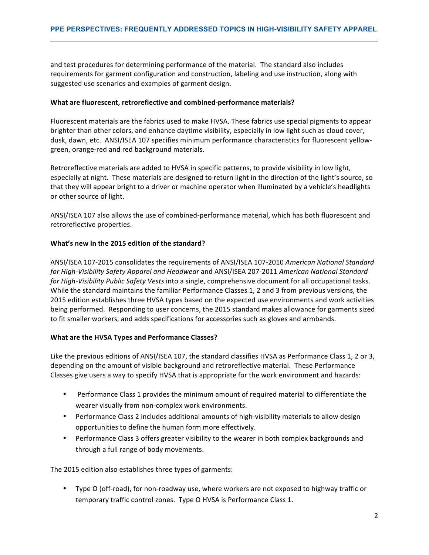and test procedures for determining performance of the material. The standard also includes requirements for garment configuration and construction, labeling and use instruction, along with suggested use scenarios and examples of garment design.

#### **What are fluorescent, retroreflective and combined-performance materials?**

Fluorescent materials are the fabrics used to make HVSA. These fabrics use special pigments to appear brighter than other colors, and enhance daytime visibility, especially in low light such as cloud cover, dusk, dawn, etc. ANSI/ISEA 107 specifies minimum performance characteristics for fluorescent yellowgreen, orange-red and red background materials.

Retroreflective materials are added to HVSA in specific patterns, to provide visibility in low light, especially at night. These materials are designed to return light in the direction of the light's source, so that they will appear bright to a driver or machine operator when illuminated by a vehicle's headlights or other source of light.

ANSI/ISEA 107 also allows the use of combined-performance material, which has both fluorescent and retroreflective properties.

#### **What's new in the 2015 edition of the standard?**

ANSI/ISEA 107-2015 consolidates the requirements of ANSI/ISEA 107-2010 *American National Standard* for High-Visibility Safety Apparel and Headwear and ANSI/ISEA 207-2011 American National Standard *for High-Visibility Public Safety Vests* into a single, comprehensive document for all occupational tasks. While the standard maintains the familiar Performance Classes 1, 2 and 3 from previous versions, the 2015 edition establishes three HVSA types based on the expected use environments and work activities being performed. Responding to user concerns, the 2015 standard makes allowance for garments sized to fit smaller workers, and adds specifications for accessories such as gloves and armbands.

# **What are the HVSA Types and Performance Classes?**

Like the previous editions of ANSI/ISEA 107, the standard classifies HVSA as Performance Class 1, 2 or 3, depending on the amount of visible background and retroreflective material. These Performance Classes give users a way to specify HVSA that is appropriate for the work environment and hazards:

- Performance Class 1 provides the minimum amount of required material to differentiate the wearer visually from non-complex work environments.
- Performance Class 2 includes additional amounts of high-visibility materials to allow design opportunities to define the human form more effectively.
- Performance Class 3 offers greater visibility to the wearer in both complex backgrounds and through a full range of body movements.

The 2015 edition also establishes three types of garments:

• Type O (off-road), for non-roadway use, where workers are not exposed to highway traffic or temporary traffic control zones. Type O HVSA is Performance Class 1.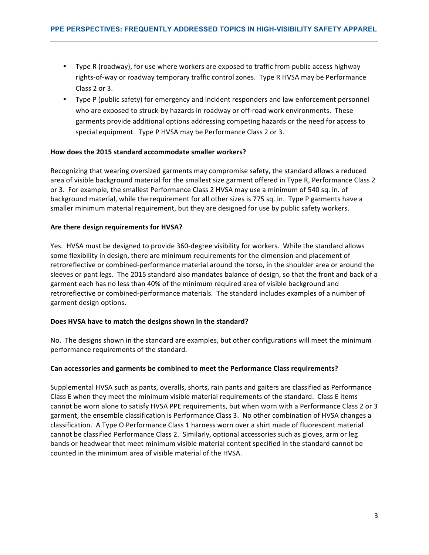- Type R (roadway), for use where workers are exposed to traffic from public access highway rights-of-way or roadway temporary traffic control zones. Type R HVSA may be Performance Class 2 or 3.
- Type P (public safety) for emergency and incident responders and law enforcement personnel who are exposed to struck-by hazards in roadway or off-road work environments. These garments provide additional options addressing competing hazards or the need for access to special equipment. Type P HVSA may be Performance Class 2 or 3.

# How does the 2015 standard accommodate smaller workers?

Recognizing that wearing oversized garments may compromise safety, the standard allows a reduced area of visible background material for the smallest size garment offered in Type R, Performance Class 2 or 3. For example, the smallest Performance Class 2 HVSA may use a minimum of 540 sq. in. of background material, while the requirement for all other sizes is 775 sq. in. Type P garments have a smaller minimum material requirement, but they are designed for use by public safety workers.

#### Are there design requirements for HVSA?

Yes. HVSA must be designed to provide 360-degree visibility for workers. While the standard allows some flexibility in design, there are minimum requirements for the dimension and placement of retroreflective or combined-performance material around the torso, in the shoulder area or around the sleeves or pant legs. The 2015 standard also mandates balance of design, so that the front and back of a garment each has no less than 40% of the minimum required area of visible background and retroreflective or combined-performance materials. The standard includes examples of a number of garment design options.

#### **Does HVSA have to match the designs shown in the standard?**

No. The designs shown in the standard are examples, but other configurations will meet the minimum performance requirements of the standard.

#### Can accessories and garments be combined to meet the Performance Class requirements?

Supplemental HVSA such as pants, overalls, shorts, rain pants and gaiters are classified as Performance Class E when they meet the minimum visible material requirements of the standard. Class E items cannot be worn alone to satisfy HVSA PPE requirements, but when worn with a Performance Class 2 or 3 garment, the ensemble classification is Performance Class 3. No other combination of HVSA changes a classification. A Type O Performance Class 1 harness worn over a shirt made of fluorescent material cannot be classified Performance Class 2. Similarly, optional accessories such as gloves, arm or leg bands or headwear that meet minimum visible material content specified in the standard cannot be counted in the minimum area of visible material of the HVSA.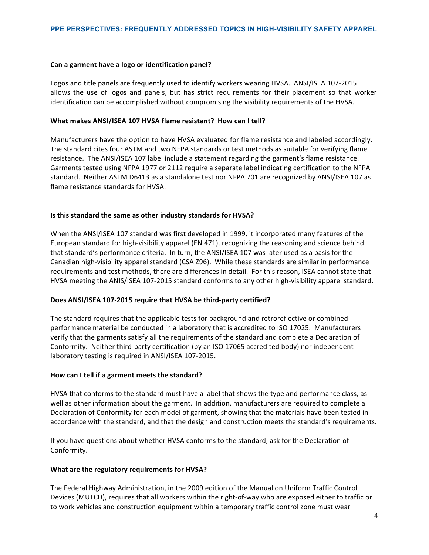#### Can a garment have a logo or identification panel?

Logos and title panels are frequently used to identify workers wearing HVSA. ANSI/ISEA 107-2015 allows the use of logos and panels, but has strict requirements for their placement so that worker identification can be accomplished without compromising the visibility requirements of the HVSA.

#### What makes ANSI/ISEA 107 HVSA flame resistant? How can I tell?

Manufacturers have the option to have HVSA evaluated for flame resistance and labeled accordingly. The standard cites four ASTM and two NFPA standards or test methods as suitable for verifying flame resistance. The ANSI/ISEA 107 label include a statement regarding the garment's flame resistance. Garments tested using NFPA 1977 or 2112 require a separate label indicating certification to the NFPA standard. Neither ASTM D6413 as a standalone test nor NFPA 701 are recognized by ANSI/ISEA 107 as flame resistance standards for HVSA.

#### **Is this standard the same as other industry standards for HVSA?**

When the ANSI/ISEA 107 standard was first developed in 1999, it incorporated many features of the European standard for high-visibility apparel (EN 471), recognizing the reasoning and science behind that standard's performance criteria. In turn, the ANSI/ISEA 107 was later used as a basis for the Canadian high-visibility apparel standard (CSA Z96). While these standards are similar in performance requirements and test methods, there are differences in detail. For this reason, ISEA cannot state that HVSA meeting the ANIS/ISEA 107-2015 standard conforms to any other high-visibility apparel standard.

#### Does ANSI/ISEA 107-2015 require that HVSA be third-party certified?

The standard requires that the applicable tests for background and retroreflective or combinedperformance material be conducted in a laboratory that is accredited to ISO 17025. Manufacturers verify that the garments satisfy all the requirements of the standard and complete a Declaration of Conformity. Neither third-party certification (by an ISO 17065 accredited body) nor independent laboratory testing is required in ANSI/ISEA 107-2015.

#### How can I tell if a garment meets the standard?

HVSA that conforms to the standard must have a label that shows the type and performance class, as well as other information about the garment. In addition, manufacturers are required to complete a Declaration of Conformity for each model of garment, showing that the materials have been tested in accordance with the standard, and that the design and construction meets the standard's requirements.

If you have questions about whether HVSA conforms to the standard, ask for the Declaration of Conformity. 

#### **What are the regulatory requirements for HVSA?**

The Federal Highway Administration, in the 2009 edition of the Manual on Uniform Traffic Control Devices (MUTCD), requires that all workers within the right-of-way who are exposed either to traffic or to work vehicles and construction equipment within a temporary traffic control zone must wear